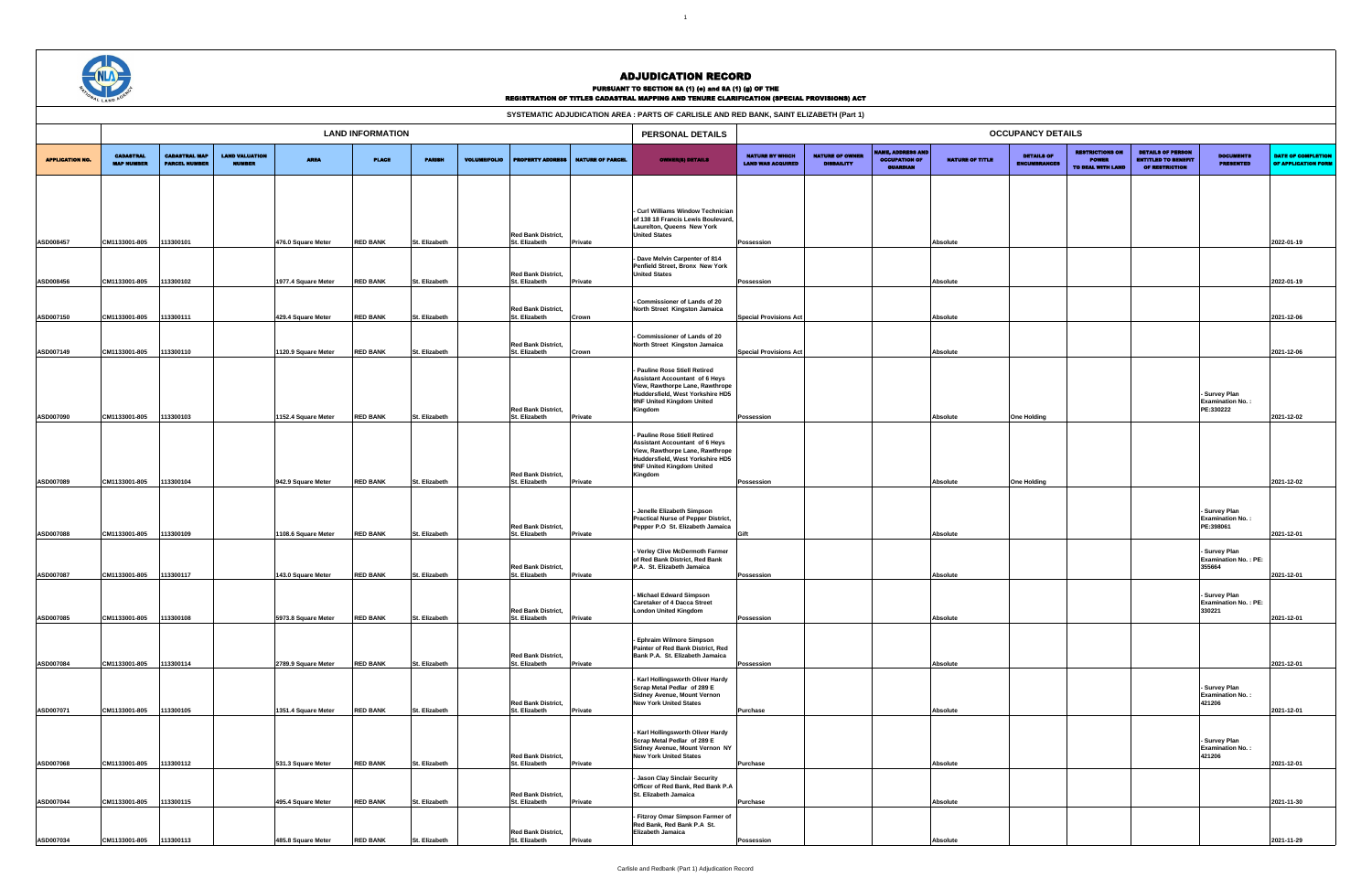| SYSTEMATIC ADJUDICATION AREA : PARTS OF CARLISLE AND RED BANK, SAINT ELIZABETH (Part 1) |                                       |                                              |                                        |                                          |                                    |                                |                     |                                                             |                         |                                                                                                                                                                                       |                                                    |                                             |                                                                     |                      |                                          |                                             |                                                                                 |                                                             |                                           |
|-----------------------------------------------------------------------------------------|---------------------------------------|----------------------------------------------|----------------------------------------|------------------------------------------|------------------------------------|--------------------------------|---------------------|-------------------------------------------------------------|-------------------------|---------------------------------------------------------------------------------------------------------------------------------------------------------------------------------------|----------------------------------------------------|---------------------------------------------|---------------------------------------------------------------------|----------------------|------------------------------------------|---------------------------------------------|---------------------------------------------------------------------------------|-------------------------------------------------------------|-------------------------------------------|
|                                                                                         |                                       |                                              |                                        |                                          | <b>LAND INFORMATION</b>            |                                |                     |                                                             |                         | PERSONAL DETAILS                                                                                                                                                                      |                                                    |                                             |                                                                     |                      | <b>OCCUPANCY DETAILS</b>                 |                                             |                                                                                 |                                                             |                                           |
| <b>APPLICATION NO.</b>                                                                  | <b>CADASTRAL</b><br><b>MAP NUMBER</b> | <b>CADASTRAL MAP</b><br><b>PARCEL NUMBER</b> | <b>LAND VALUATION</b><br><b>NUMBER</b> | <b>AREA</b>                              | <b>PLACE</b>                       | <b>PARISH</b>                  | <b>VOLUME/FOLIO</b> | <b>PROPERTY ADDRESS</b>                                     | <b>NATURE OF PARCEL</b> | <b>OWNER(8) DETAILS</b>                                                                                                                                                               | <b>NATURE BY WHICH</b><br><b>LAND WAS ACQUIRED</b> | <b>NATURE OF OWNER</b><br><b>DISBAILITY</b> | <b>NAME, ADDRESS AND</b><br><b>OCCUPATION OF</b><br><b>GUARDIAN</b> | NATURE OF TITLE      | <b>DETAILS OF</b><br><b>ENCUMBRANCES</b> | <b>RESTRICTIONS ON</b><br>TO DEAL WITH LAND | <b>DETAILS OF PERSON</b><br><b>ENTITLED TO BENEFIT</b><br><b>OF RESTRICTION</b> | <b>DOCUMENTS</b><br><b>PRESENTED</b>                        | DATE OF COMPLETION<br>OF APPLICATION FORM |
|                                                                                         |                                       |                                              |                                        |                                          |                                    |                                |                     |                                                             |                         |                                                                                                                                                                                       |                                                    |                                             |                                                                     |                      |                                          |                                             |                                                                                 |                                                             |                                           |
|                                                                                         |                                       |                                              |                                        |                                          |                                    |                                |                     |                                                             |                         | - Curl Williams Window Technician<br>of 138 18 Francis Lewis Boulevard,<br>Laurelton, Queens New York                                                                                 |                                                    |                                             |                                                                     |                      |                                          |                                             |                                                                                 |                                                             |                                           |
| ASD008457                                                                               | CM1133001-805                         | 113300101                                    |                                        | 476.0 Square Meter                       | <b>RED BANK</b>                    | St. Elizabeth                  |                     | <b>Red Bank District,</b><br>St. Elizabeth                  | Private                 | <b>United States</b>                                                                                                                                                                  | Possession                                         |                                             |                                                                     | Absolute             |                                          |                                             |                                                                                 |                                                             | 2022-01-19                                |
| ASD008456                                                                               | CM1133001-805                         | 113300102                                    |                                        | 1977.4 Square Meter                      | <b>RED BANK</b>                    | St. Elizabeth                  |                     | <b>Red Bank District,</b><br>St. Elizabeth                  | Private                 | - Dave Melvin Carpenter of 814<br>Penfield Street, Bronx New York<br><b>United States</b>                                                                                             | Possession                                         |                                             |                                                                     | Absolute             |                                          |                                             |                                                                                 |                                                             | 2022-01-19                                |
|                                                                                         |                                       |                                              |                                        |                                          |                                    |                                |                     |                                                             |                         |                                                                                                                                                                                       |                                                    |                                             |                                                                     |                      |                                          |                                             |                                                                                 |                                                             |                                           |
| ASD007150                                                                               | CM1133001-805                         | 113300111                                    |                                        | 429.4 Square Meter                       | <b>RED BANK</b>                    | St. Elizabeth                  |                     | <b>Red Bank District,</b><br>St. Elizabeth                  | Crown                   | - Commissioner of Lands of 20<br>North Street Kingston Jamaica                                                                                                                        | <b>Special Provisions Act</b>                      |                                             |                                                                     | Absolute             |                                          |                                             |                                                                                 |                                                             | 2021-12-06                                |
| ASD007149                                                                               | CM1133001-805                         | 13300110                                     |                                        | 1120.9 Square Meter                      | <b>RED BANK</b>                    | St. Elizabeth                  |                     | <b>Red Bank District,</b><br>St. Elizabeth                  | Crown                   | - Commissioner of Lands of 20<br>North Street Kingston Jamaica                                                                                                                        | <b>Special Provisions Act</b>                      |                                             |                                                                     | Absolute             |                                          |                                             |                                                                                 |                                                             | 2021-12-06                                |
|                                                                                         |                                       |                                              |                                        |                                          |                                    |                                |                     | <b>Red Bank District,</b>                                   |                         | - Pauline Rose Stiell Retired<br><b>Assistant Accountant of 6 Heys</b><br>View, Rawthorpe Lane, Rawthrope<br>Huddersfield, West Yorkshire HD5<br>9NF United Kingdom United<br>Kingdom |                                                    |                                             |                                                                     |                      |                                          |                                             |                                                                                 | <b>Survey Plan</b><br><b>Examination No.:</b><br>PE:330222  |                                           |
| ASD007090                                                                               | CM1133001-805                         | 113300103                                    |                                        | 1152.4 Square Meter                      | <b>RED BANK</b>                    | St. Elizabeth                  |                     | St. Elizabeth                                               | Private                 |                                                                                                                                                                                       | Possession                                         |                                             |                                                                     | Absolute             | <b>One Holding</b>                       |                                             |                                                                                 |                                                             | 2021-12-02                                |
|                                                                                         |                                       |                                              |                                        |                                          |                                    |                                |                     | <b>Red Bank District,</b>                                   |                         | - Pauline Rose Stiell Retired<br><b>Assistant Accountant of 6 Heys</b><br>View, Rawthorpe Lane, Rawthrope<br>Huddersfield, West Yorkshire HD5<br>9NF United Kingdom United<br>Kingdom |                                                    |                                             |                                                                     |                      |                                          |                                             |                                                                                 |                                                             |                                           |
| ASD007089                                                                               | CM1133001-805                         | 113300104                                    |                                        | 942.9 Square Meter                       | <b>RED BANK</b>                    | St. Elizabeth                  |                     | St. Elizabeth                                               | Private                 |                                                                                                                                                                                       | Possession                                         |                                             |                                                                     | Absolute             | <b>One Holding</b>                       |                                             |                                                                                 |                                                             | 2021-12-02                                |
| ASD007088                                                                               | CM1133001-805                         | 13300109                                     |                                        | 1108.6 Square Meter                      | <b>RED BANK</b>                    | St. Elizabeth                  |                     | <b>Red Bank District,</b><br>St. Elizabeth                  | Private                 | - Jenelle Elizabeth Simpson<br>Practical Nurse of Pepper District,<br>Pepper P.O St. Elizabeth Jamaica                                                                                | Gift                                               |                                             |                                                                     | Absolute             |                                          |                                             |                                                                                 | <b>Survey Plan</b><br><b>Examination No.:</b><br>PE:398061  | 2021-12-01                                |
|                                                                                         |                                       |                                              |                                        |                                          |                                    |                                |                     | <b>Red Bank District,</b>                                   |                         | - Verley Clive McDermoth Farmer<br>of Red Bank District, Red Bank<br>P.A. St. Elizabeth Jamaica                                                                                       |                                                    |                                             |                                                                     |                      |                                          |                                             |                                                                                 | <b>Survey Plan</b><br><b>Examination No.: PE:</b><br>355664 |                                           |
| ASD007087                                                                               | CM1133001-805                         | 113300117                                    |                                        | 143.0 Square Meter                       | <b>RED BANK</b>                    | St. Elizabeth                  |                     | St. Elizabeth                                               | Private                 |                                                                                                                                                                                       | Possession                                         |                                             |                                                                     | Absolute             |                                          |                                             |                                                                                 |                                                             | 2021-12-01                                |
| ASD007085                                                                               | CM1133001-805                         | 113300108                                    |                                        | 5973.8 Square Meter                      | <b>RED BANK</b>                    | St. Elizabeth                  |                     | <b>Red Bank District,</b><br>St. Elizabeth                  | Private                 | - Michael Edward Simpson<br><b>Caretaker of 4 Dacca Street</b><br><b>London United Kingdom</b>                                                                                        | Possession                                         |                                             |                                                                     | Absolute             |                                          |                                             |                                                                                 | - Survey Plan<br><b>Examination No.: PE:</b><br>330221      | 2021-12-01                                |
| ASD007084                                                                               | CM1133001-805                         | 113300114                                    |                                        | 2789.9 Square Meter                      | <b>RED BANK</b>                    | St. Elizabeth                  |                     | <b>Red Bank District,</b><br>St. Elizabeth                  | Private                 | Ephraim Wilmore Simpson<br>Painter of Red Bank District, Red<br>Bank P.A. St. Elizabeth Jamaica                                                                                       | Possession                                         |                                             |                                                                     | Absolute             |                                          |                                             |                                                                                 |                                                             | 2021-12-01                                |
|                                                                                         |                                       |                                              |                                        |                                          |                                    |                                |                     | <b>Red Bank District,</b>                                   |                         | Karl Hollingsworth Oliver Hardy<br>Scrap Metal Pedlar of 289 E<br>Sidney Avenue, Mount Vernon<br><b>New York United States</b>                                                        |                                                    |                                             |                                                                     |                      |                                          |                                             |                                                                                 | - Survey Plan<br><b>Examination No.:</b><br>421206          |                                           |
| ASD007071                                                                               | CM1133001-805                         | 113300105                                    |                                        | 1351.4 Square Meter                      | <b>RED BANK</b>                    | St. Elizabeth                  |                     | St. Elizabeth                                               | Private                 |                                                                                                                                                                                       | Purchase                                           |                                             |                                                                     | Absolute             |                                          |                                             |                                                                                 |                                                             | 2021-12-01                                |
| ASD007068                                                                               | CM1133001-805                         | 113300112                                    |                                        | 531.3 Square Meter                       | <b>RED BANK</b>                    | St. Elizabeth                  |                     | <b>Red Bank District,</b><br>St. Elizabeth                  | Private                 | - Karl Hollingsworth Oliver Hardy<br>Scrap Metal Pedlar of 289 E<br>Sidney Avenue, Mount Vernon NY<br><b>New York United States</b>                                                   | Purchase                                           |                                             |                                                                     | Absolute             |                                          |                                             |                                                                                 | - Survey Plan<br><b>Examination No.:</b><br>421206          | 2021-12-01                                |
|                                                                                         |                                       |                                              |                                        |                                          |                                    |                                |                     | <b>Red Bank District,</b>                                   |                         | - Jason Clay Sinclair Security<br>Officer of Red Bank, Red Bank P.A<br>St. Elizabeth Jamaica                                                                                          |                                                    |                                             |                                                                     |                      |                                          |                                             |                                                                                 |                                                             |                                           |
| ASD007044<br>ASD007034                                                                  | CM1133001-805<br>CM1133001-805        | 113300115<br>113300113                       |                                        | 495.4 Square Meter<br>485.8 Square Meter | <b>RED BANK</b><br><b>RED BANK</b> | St. Elizabeth<br>St. Elizabeth |                     | St. Elizabeth<br><b>Red Bank District,</b><br>St. Elizabeth | Private<br>Private      | - Fitzroy Omar Simpson Farmer of<br>Red Bank, Red Bank P.A St.<br>Elizabeth Jamaica                                                                                                   | Purchase<br>Possession                             |                                             |                                                                     | Absolute<br>Absolute |                                          |                                             |                                                                                 |                                                             | 2021-11-30<br>2021-11-29                  |
|                                                                                         |                                       |                                              |                                        |                                          |                                    |                                |                     |                                                             |                         |                                                                                                                                                                                       |                                                    |                                             |                                                                     |                      |                                          |                                             |                                                                                 |                                                             |                                           |



## ADJUDICATION RECORD

#### PURSUANT TO SECTION 8A (1) (e) and 8A (1) (g) OF THE

| SYSTEMATIC ADJUDICATION AREA : PARTS OF CARLISLE AND RED BANK, SAINT ELIZABETH (Part 1) |  |
|-----------------------------------------------------------------------------------------|--|
|-----------------------------------------------------------------------------------------|--|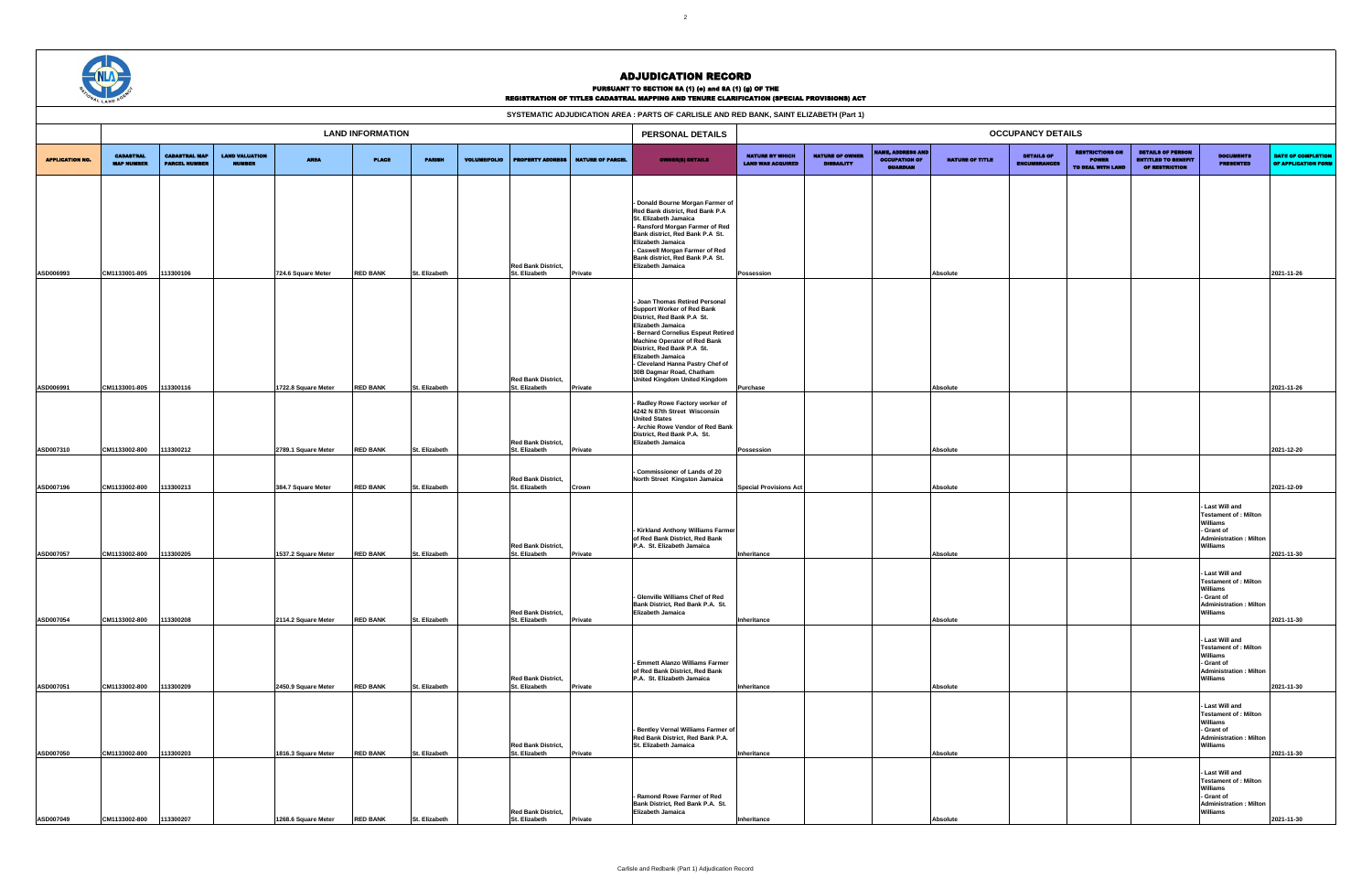|                        | SYSTEMATIC ADJUDICATION AREA : PARTS OF CARLISLE AND RED BANK, SAINT ELIZABETH (Part 1)<br><b>LAND INFORMATION</b><br><b>OCCUPANCY DETAILS</b> |                                              |                                        |                     |                 |               |                     |                                            |                         |                                                                                                                                                                                                                                                                                                                                                         |                                                    |                                             |                                                                    |                        |                                          |                                                             |                                                                                 |                                                                                                                               |                                                  |
|------------------------|------------------------------------------------------------------------------------------------------------------------------------------------|----------------------------------------------|----------------------------------------|---------------------|-----------------|---------------|---------------------|--------------------------------------------|-------------------------|---------------------------------------------------------------------------------------------------------------------------------------------------------------------------------------------------------------------------------------------------------------------------------------------------------------------------------------------------------|----------------------------------------------------|---------------------------------------------|--------------------------------------------------------------------|------------------------|------------------------------------------|-------------------------------------------------------------|---------------------------------------------------------------------------------|-------------------------------------------------------------------------------------------------------------------------------|--------------------------------------------------|
|                        |                                                                                                                                                |                                              |                                        |                     |                 |               |                     |                                            |                         | PERSONAL DETAILS                                                                                                                                                                                                                                                                                                                                        |                                                    |                                             |                                                                    |                        |                                          |                                                             |                                                                                 |                                                                                                                               |                                                  |
| <b>APPLICATION NO.</b> | <b>CADASTRAL</b><br><b>MAP NUMBER</b>                                                                                                          | <b>CADASTRAL MAP</b><br><b>PARCEL NUMBER</b> | <b>LAND VALUATION</b><br><b>NUMBER</b> | <b>AREA</b>         | <b>PLACE</b>    | <b>PARISH</b> | <b>VOLUME/FOLIO</b> | PROPERTY ADDRESS                           | <b>NATURE OF PARCEL</b> | <b>OWNER(8) DETAILS</b>                                                                                                                                                                                                                                                                                                                                 | <b>NATURE BY WHICH</b><br><b>LAND WAS ACQUIRED</b> | <b>NATURE OF OWNER</b><br><b>DISBAILITY</b> | <b>AME, ADDRESS AND</b><br><b>OCCUPATION OF</b><br><b>GUARDIAN</b> | <b>NATURE OF TITLE</b> | <b>DETAILS OF</b><br><b>ENCUMBRANCES</b> | <b>RESTRICTIONS ON</b><br><b>POWER</b><br>TO DEAL WITH LAND | <b>DETAILS OF PERSON</b><br><b>ENTITLED TO BENEFIT</b><br><b>OF RESTRICTION</b> | <b>DOCUMENTS</b><br><b>PRESENTED</b>                                                                                          | <b>DATE OF COMPLETION</b><br>OF APPLICATION FORM |
| ASD006993              | CM1133001-805                                                                                                                                  | 113300106                                    |                                        | 724.6 Square Meter  | <b>RED BANK</b> | St. Elizabeth |                     | <b>Red Bank District,</b><br>St. Elizabeth | Private                 | - Donald Bourne Morgan Farmer of<br>Red Bank district, Red Bank P.A<br>St. Elizabeth Jamaica<br>- Ransford Morgan Farmer of Red<br>Bank district, Red Bank P.A St.<br>Elizabeth Jamaica<br>- Caswell Morgan Farmer of Red<br>Bank district, Red Bank P.A St.<br><b>Elizabeth Jamaica</b>                                                                | Possession                                         |                                             |                                                                    | Absolute               |                                          |                                                             |                                                                                 |                                                                                                                               | 2021-11-26                                       |
|                        |                                                                                                                                                |                                              |                                        |                     |                 |               |                     | <b>Red Bank District,</b>                  |                         | - Joan Thomas Retired Personal<br><b>Support Worker of Red Bank</b><br>District, Red Bank P.A St.<br>Elizabeth Jamaica<br>- Bernard Cornelius Espeut Retired<br>Machine Operator of Red Bank<br>District, Red Bank P.A St.<br>Elizabeth Jamaica<br>- Cleveland Hanna Pastry Chef of<br>30B Dagmar Road, Chatham<br><b>United Kingdom United Kingdom</b> |                                                    |                                             |                                                                    |                        |                                          |                                                             |                                                                                 |                                                                                                                               |                                                  |
| ASD006991              | CM1133001-805                                                                                                                                  | 113300116                                    |                                        | 1722.8 Square Meter | <b>RED BANK</b> | St. Elizabeth |                     | St. Elizabeth<br><b>Red Bank District,</b> | Private                 | Radley Rowe Factory worker of<br>4242 N 87th Street Wisconsin<br><b>United States</b><br>- Archie Rowe Vendor of Red Bank<br>District, Red Bank P.A. St.<br><b>Elizabeth Jamaica</b>                                                                                                                                                                    | <b>Purchase</b>                                    |                                             |                                                                    | Absolute               |                                          |                                                             |                                                                                 |                                                                                                                               | 2021-11-26                                       |
| ASD007310              | CM1133002-800                                                                                                                                  | 113300212                                    |                                        | 2789.1 Square Meter | <b>RED BANK</b> | St. Elizabeth |                     | St. Elizabeth                              | Private                 |                                                                                                                                                                                                                                                                                                                                                         | Possession                                         |                                             |                                                                    | Absolute               |                                          |                                                             |                                                                                 |                                                                                                                               | 2021-12-20                                       |
| ASD007196              | CM1133002-800                                                                                                                                  | 13300213                                     |                                        | 384.7 Square Meter  | <b>RED BANK</b> | St. Elizabeth |                     | <b>Red Bank District,</b><br>St. Elizabeth | Crown                   | Commissioner of Lands of 20<br>North Street Kingston Jamaica                                                                                                                                                                                                                                                                                            | <b>Special Provisions Act</b>                      |                                             |                                                                    | Absolute               |                                          |                                                             |                                                                                 |                                                                                                                               | 2021-12-09                                       |
| ASD007057              | CM1133002-800                                                                                                                                  | 13300205                                     |                                        | 1537.2 Square Meter | <b>RED BANK</b> | St. Elizabeth |                     | <b>Red Bank District,</b><br>St. Elizabeth | Private                 | - Kirkland Anthony Williams Farmer<br>of Red Bank District, Red Bank<br>P.A. St. Elizabeth Jamaica                                                                                                                                                                                                                                                      | Inheritance                                        |                                             |                                                                    | Absolute               |                                          |                                                             |                                                                                 | - Last Will and<br><b>Testament of : Milton</b><br>Williams<br>- Grant of<br><b>Administration: Milton</b><br>Williams        | 2021-11-30                                       |
| ASD007054              | CM1133002-800                                                                                                                                  | 113300208                                    |                                        | 2114.2 Square Meter | <b>RED BANK</b> | St. Elizabeth |                     | <b>Red Bank District,</b><br>St. Elizabeth | Private                 | - Glenville Williams Chef of Red<br>Bank District, Red Bank P.A. St.<br>Elizabeth Jamaica                                                                                                                                                                                                                                                               | Inheritance                                        |                                             |                                                                    | Absolute               |                                          |                                                             |                                                                                 | - Last Will and<br><b>Testament of : Milton</b><br><b>Williams</b><br>- Grant of<br><b>Administration: Milton</b><br>Williams | 2021-11-30                                       |
| ASD007051              | CM1133002-800                                                                                                                                  | 113300209                                    |                                        | 2450.9 Square Meter | <b>RED BANK</b> | St. Elizabeth |                     | <b>Red Bank District,</b><br>St. Elizabeth | Private                 | - Emmett Alanzo Williams Farmer<br>of Red Bank District, Red Bank<br>P.A. St. Elizabeth Jamaica                                                                                                                                                                                                                                                         | Inheritance                                        |                                             |                                                                    | Absolute               |                                          |                                                             |                                                                                 | - Last Will and<br><b>Testament of : Milton</b><br>Williams<br>- Grant of<br><b>Administration: Milton</b><br><b>Williams</b> | 2021-11-30                                       |
| ASD007050              | CM1133002-800                                                                                                                                  | 113300203                                    |                                        | 1816.3 Square Meter | <b>RED BANK</b> | St. Elizabeth |                     | <b>Red Bank District,</b><br>St. Elizabeth | Private                 | - Bentley Vernal Williams Farmer of<br>Red Bank District, Red Bank P.A.<br>St. Elizabeth Jamaica                                                                                                                                                                                                                                                        | Inheritance                                        |                                             |                                                                    | Absolute               |                                          |                                                             |                                                                                 | - Last Will and<br><b>Testament of : Milton</b><br>Williams<br>- Grant of<br><b>Administration: Milton</b><br>Williams        | 2021-11-30                                       |
|                        |                                                                                                                                                |                                              |                                        |                     |                 |               |                     | <b>Red Bank District,</b>                  |                         | Ramond Rowe Farmer of Red<br>Bank District, Red Bank P.A. St.<br>Elizabeth Jamaica                                                                                                                                                                                                                                                                      |                                                    |                                             |                                                                    |                        |                                          |                                                             |                                                                                 | - Last Will and<br><b>Testament of : Milton</b><br>Williams<br>- Grant of<br><b>Administration: Milton</b><br>Williams        |                                                  |
| ASD007049              | CM1133002-800                                                                                                                                  | 113300207                                    |                                        | 1268.6 Square Meter | <b>RED BANK</b> | St. Elizabeth |                     | St. Elizabeth                              | Private                 |                                                                                                                                                                                                                                                                                                                                                         | Inheritance                                        |                                             |                                                                    | Absolute               |                                          |                                                             |                                                                                 |                                                                                                                               | 2021-11-30                                       |



## ADJUDICATION RECORD

#### PURSUANT TO SECTION 8A (1) (e) and 8A (1) (g) OF THE

| SYSTEMATIC ADJUDICATION AREA : PARTS OF CARLISLE AND RED BANK, SAINT ELIZABETH (Part 1) |  |
|-----------------------------------------------------------------------------------------|--|
|-----------------------------------------------------------------------------------------|--|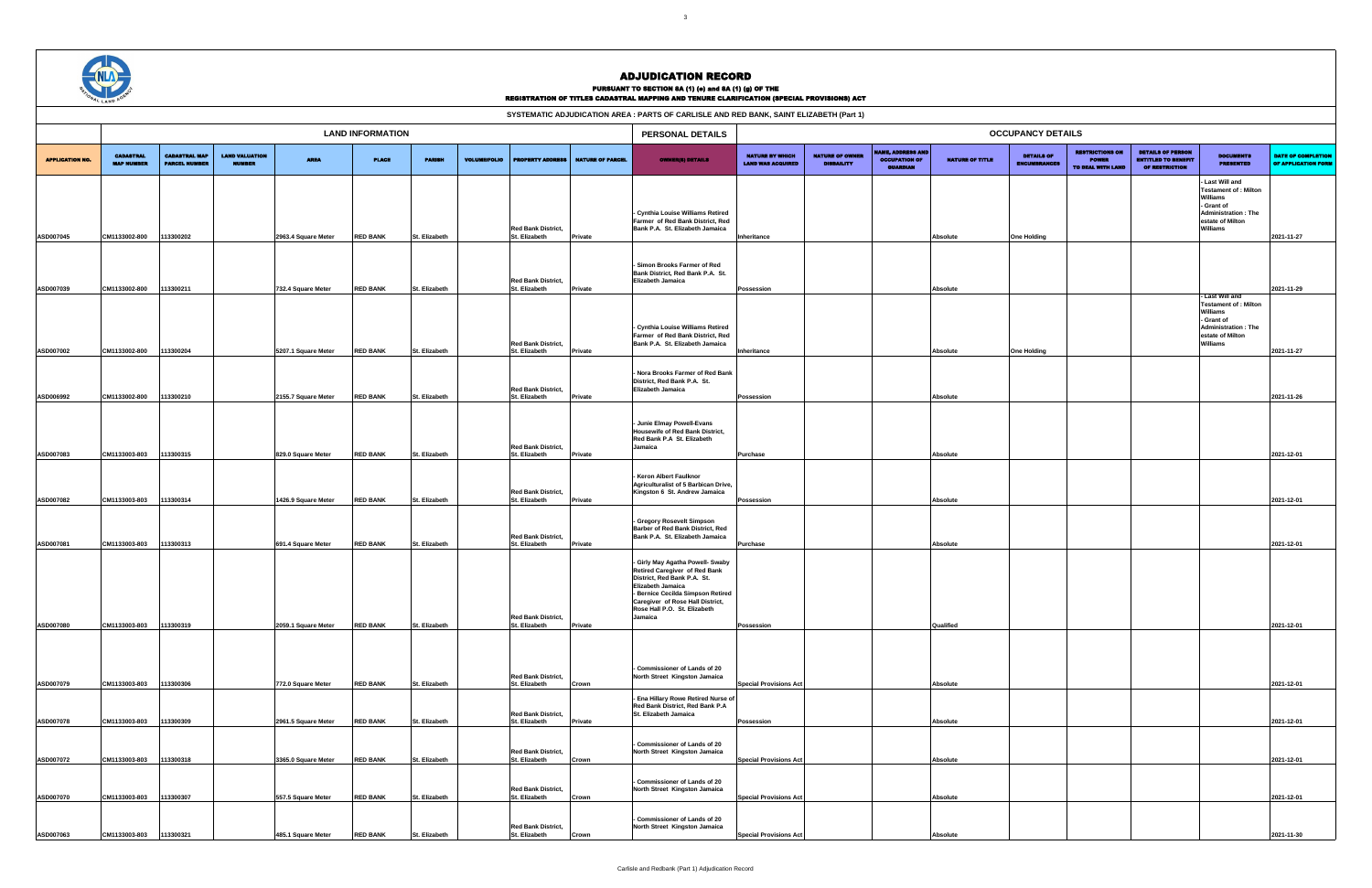|                        |                                       |                                              |                                 |                                           |                                    |                                |                     |                                                             |                         | SYSTEMATIC ADJUDICATION AREA : PARTS OF CARLISLE AND RED BANK, SAINT ELIZABETH (Part 1)                                                                                                                                                   |                                                    |                                           |                                                                     |                             |                                          |                                                             |                                                                          |                                                                                                                                       |                                                  |
|------------------------|---------------------------------------|----------------------------------------------|---------------------------------|-------------------------------------------|------------------------------------|--------------------------------|---------------------|-------------------------------------------------------------|-------------------------|-------------------------------------------------------------------------------------------------------------------------------------------------------------------------------------------------------------------------------------------|----------------------------------------------------|-------------------------------------------|---------------------------------------------------------------------|-----------------------------|------------------------------------------|-------------------------------------------------------------|--------------------------------------------------------------------------|---------------------------------------------------------------------------------------------------------------------------------------|--------------------------------------------------|
|                        |                                       |                                              |                                 |                                           | <b>LAND INFORMATION</b>            |                                |                     |                                                             |                         | PERSONAL DETAILS                                                                                                                                                                                                                          |                                                    |                                           |                                                                     |                             | <b>OCCUPANCY DETAILS</b>                 |                                                             |                                                                          |                                                                                                                                       |                                                  |
| <b>APPLICATION NO.</b> | <b>CADASTRAL</b><br><b>MAP NUMBER</b> | <b>CADASTRAL MAP</b><br><b>PARCEL NUMBER</b> | <b>LAND VALUATION</b><br>NUMBER | <b>AREA</b>                               | <b>PLACE</b>                       | <b>PARISH</b>                  | <b>VOLUME/FOLIO</b> | <b>PROPERTY ADDRESS</b>                                     | <b>NATURE OF PARCEL</b> | <b>OWNER(8) DETAILS</b>                                                                                                                                                                                                                   | <b>NATURE BY WHICH</b><br><b>LAND WAS ACQUIRED</b> | <b>NATURE OF OWN</b><br><b>DISBAILITY</b> | <b>IAME, ADDRESS AND</b><br><b>OCCUPATION OF</b><br><b>GUARDIAN</b> | <b>NATURE OF TITLE</b>      | <b>DETAILS OF</b><br><b>ENCUMBRANCES</b> | <b>RESTRICTIONS ON</b><br><b>POWER</b><br>TO DEAL WITH LAND | <b>DETAILS OF PERSON</b><br><b>ENTITLED TO BENEFIT</b><br>OF RESTRICTION | <b>DOCUMENTS</b><br><b>PRESENTED</b>                                                                                                  | <b>DATE OF COMPLETION</b><br>OF APPLICATION FORM |
| ASD007045              | CM1133002-800                         | 113300202                                    |                                 | 2963.4 Square Meter                       | <b>RED BANK</b>                    | St. Elizabeth                  |                     | <b>Red Bank District.</b><br>St. Elizabeth                  | Private                 | - Cynthia Louise Williams Retired<br>Farmer of Red Bank District, Red<br>Bank P.A. St. Elizabeth Jamaica                                                                                                                                  | Inheritance                                        |                                           |                                                                     | Absolute                    | <b>One Holding</b>                       |                                                             |                                                                          | Last Will and<br><b>Testament of : Milton</b><br>Williams<br>- Grant of<br><b>Administration: The</b><br>estate of Milton<br>Williams | 2021-11-27                                       |
| ASD007039              | CM1133002-800                         | 113300211                                    |                                 | 732.4 Square Meter                        | <b>RED BANK</b>                    | St. Elizabeth                  |                     | <b>Red Bank District,</b><br>St. Elizabeth                  | Private                 | Simon Brooks Farmer of Red<br>Bank District, Red Bank P.A. St.<br>Elizabeth Jamaica                                                                                                                                                       | Possession                                         |                                           |                                                                     | Absolute                    |                                          |                                                             |                                                                          |                                                                                                                                       | 2021-11-29                                       |
| ASD007002              | CM1133002-800                         | 113300204                                    |                                 | 5207.1 Square Meter                       | <b>RED BANK</b>                    | St. Elizabeth                  |                     | <b>Red Bank District,</b><br>St. Elizabeth                  | Private                 | - Cynthia Louise Williams Retired<br>Farmer of Red Bank District. Red<br>Bank P.A. St. Elizabeth Jamaica                                                                                                                                  | Inheritance                                        |                                           |                                                                     | <b>Absolute</b>             | <b>One Holding</b>                       |                                                             |                                                                          | Last Will and<br><b>Testament of : Milton</b><br>Williams<br>- Grant of<br><b>Administration: The</b><br>estate of Milton<br>Williams | 2021-11-27                                       |
| ASD006992              | CM1133002-800                         | 113300210                                    |                                 | 2155.7 Square Meter                       | <b>RED BANK</b>                    | St. Elizabeth                  |                     | <b>Red Bank District,</b><br>St. Elizabeth                  | Private                 | - Nora Brooks Farmer of Red Bank<br>District, Red Bank P.A. St.<br>Elizabeth Jamaica                                                                                                                                                      | Possession                                         |                                           |                                                                     | Absolute                    |                                          |                                                             |                                                                          |                                                                                                                                       | 2021-11-26                                       |
|                        |                                       |                                              |                                 |                                           |                                    |                                |                     | <b>Red Bank District,</b>                                   |                         | - Junie Elmay Powell-Evans<br>Housewife of Red Bank District,<br>Red Bank P.A St. Elizabeth<br>Jamaica                                                                                                                                    |                                                    |                                           |                                                                     |                             |                                          |                                                             |                                                                          |                                                                                                                                       |                                                  |
| ASD007083<br>ASD007082 | CM1133003-803<br>CM1133003-803        | 113300315<br>13300314                        |                                 | 829.0 Square Meter<br>1426.9 Square Meter | <b>RED BANK</b><br><b>RED BANK</b> | St. Elizabeth<br>St. Elizabeth |                     | St. Elizabeth<br><b>Red Bank District,</b><br>St. Elizabeth | Private<br>Private      | - Keron Albert Faulknor<br>Agriculturalist of 5 Barbican Drive,<br>Kingston 6 St. Andrew Jamaica                                                                                                                                          | Purchase<br>Possession                             |                                           |                                                                     | Absolute<br>Absolute        |                                          |                                                             |                                                                          |                                                                                                                                       | 2021-12-01<br>2021-12-01                         |
| ASD007081              | CM1133003-803                         | 113300313                                    |                                 | 691.4 Square Meter                        | <b>RED BANK</b>                    | St. Elizabeth                  |                     | <b>Red Bank District,</b><br>St. Elizabeth                  | Private                 | - Gregory Rosevelt Simpson<br>Barber of Red Bank District, Red<br>Bank P.A. St. Elizabeth Jamaica                                                                                                                                         | Purchase                                           |                                           |                                                                     | Absolute                    |                                          |                                                             |                                                                          |                                                                                                                                       | 2021-12-01                                       |
| ASD007080              | CM1133003-803                         | 113300319                                    |                                 | 2059.1 Square Meter                       | <b>RED BANK</b>                    | St. Elizabeth                  |                     | <b>Red Bank District,</b><br>St. Elizabeth                  | Private                 | - Girly May Agatha Powell- Swaby<br>Retired Caregiver of Red Bank<br>District, Red Bank P.A. St.<br>Elizabeth Jamaica<br>- Bernice Cecilda Simpson Retired<br>Caregiver of Rose Hall District,<br>Rose Hall P.O. St. Elizabeth<br>Jamaica | Possession                                         |                                           |                                                                     | Qualified                   |                                          |                                                             |                                                                          |                                                                                                                                       | 2021-12-01                                       |
| ASD007079              | CM1133003-803                         | 113300306                                    |                                 | 772.0 Square Meter                        | <b>RED BANK</b>                    | St. Elizabeth                  |                     | <b>Red Bank District,</b><br>St. Elizabeth                  |                         | Commissioner of Lands of 20<br>North Street Kingston Jamaica                                                                                                                                                                              | <b>Special Provisions Act</b>                      |                                           |                                                                     |                             |                                          |                                                             |                                                                          |                                                                                                                                       | 2021-12-01                                       |
| ASD007078              | CM1133003-803                         | 113300309                                    |                                 | 2961.5 Square Meter                       | <b>RED BANK</b>                    | St. Elizabeth                  |                     | <b>Red Bank District,</b><br>St. Elizabeth                  | Crown<br>Private        | - Ena Hillary Rowe Retired Nurse of<br>Red Bank District, Red Bank P.A<br>St. Elizabeth Jamaica                                                                                                                                           | Possession                                         |                                           |                                                                     | Absolute<br><b>Absolute</b> |                                          |                                                             |                                                                          |                                                                                                                                       | 2021-12-01                                       |
| ASD007072              | CM1133003-803                         | 113300318                                    |                                 | 3365.0 Square Meter                       | <b>RED BANK</b>                    | St. Elizabeth                  |                     | <b>Red Bank District,</b><br>St. Elizabeth                  | Crown                   | - Commissioner of Lands of 20<br>North Street Kingston Jamaica                                                                                                                                                                            | <b>Special Provisions Act</b>                      |                                           |                                                                     | Absolute                    |                                          |                                                             |                                                                          |                                                                                                                                       | 2021-12-01                                       |
| ASD007070              | CM1133003-803                         | 113300307                                    |                                 | 557.5 Square Meter                        | <b>RED BANK</b>                    | St. Elizabeth                  |                     | <b>Red Bank District,</b><br>St. Elizabeth                  | Crown                   | Commissioner of Lands of 20<br>North Street Kingston Jamaica<br>Commissioner of Lands of 20                                                                                                                                               | <b>Special Provisions Act</b>                      |                                           |                                                                     | <b>Absolute</b>             |                                          |                                                             |                                                                          |                                                                                                                                       | 2021-12-01                                       |
| ASD007063              | CM1133003-803                         | 113300321                                    |                                 | 485.1 Square Meter                        | <b>RED BANK</b>                    | St. Elizabeth                  |                     | <b>Red Bank District,</b><br>St. Elizabeth                  | Crown                   | North Street Kingston Jamaica                                                                                                                                                                                                             | <b>Special Provisions Act</b>                      |                                           |                                                                     | Absolute                    |                                          |                                                             |                                                                          |                                                                                                                                       | 2021-11-30                                       |



## ADJUDICATION RECORD

PURSUANT TO SECTION 8A (1) (e) and 8A (1) (g) OF THE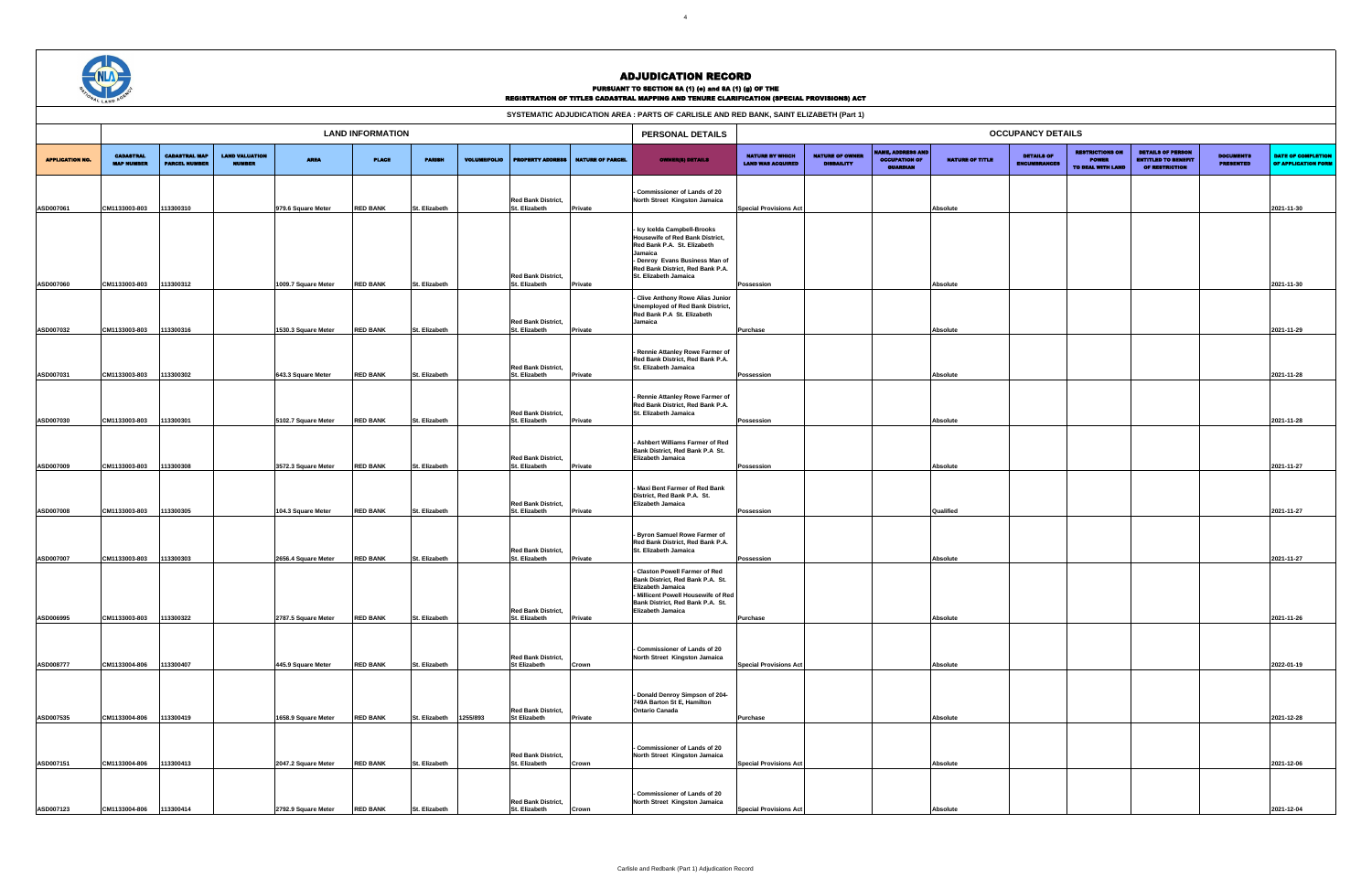|                        | AL LAND                               |                                              |                                        |                     |                         |               |                     |                                                  |                         | KEUIƏ I KA I IVN VF TITLEƏ VAVAƏTKAL MAFFINU ANV TENUKE VLAKIFIVA ITUN (ƏFEVIAL FKUYIƏIUNƏ) AVT<br>SYSTEMATIC ADJUDICATION AREA : PARTS OF CARLISLE AND RED BANK, SAINT ELIZABETH (Part 1)               |                                                    |                                             |                                                             |                        |                                          |                                                             |                                                                                 |                                      |                                                  |  |  |
|------------------------|---------------------------------------|----------------------------------------------|----------------------------------------|---------------------|-------------------------|---------------|---------------------|--------------------------------------------------|-------------------------|----------------------------------------------------------------------------------------------------------------------------------------------------------------------------------------------------------|----------------------------------------------------|---------------------------------------------|-------------------------------------------------------------|------------------------|------------------------------------------|-------------------------------------------------------------|---------------------------------------------------------------------------------|--------------------------------------|--------------------------------------------------|--|--|
|                        |                                       |                                              |                                        |                     |                         |               |                     |                                                  |                         |                                                                                                                                                                                                          |                                                    |                                             |                                                             |                        |                                          |                                                             |                                                                                 |                                      |                                                  |  |  |
|                        |                                       |                                              |                                        |                     | <b>LAND INFORMATION</b> |               |                     |                                                  |                         | PERSONAL DETAILS                                                                                                                                                                                         |                                                    |                                             |                                                             |                        | <b>OCCUPANCY DETAILS</b>                 |                                                             |                                                                                 |                                      |                                                  |  |  |
| <b>APPLICATION NO.</b> | <b>CADASTRAL</b><br><b>MAP NUMBER</b> | <b>CADASTRAL MAP</b><br><b>PARCEL NUMBER</b> | <b>LAND VALUATION</b><br><b>NUMBER</b> | <b>AREA</b>         | <b>PLACE</b>            | <b>PARISH</b> | <b>VOLUME/FOLIO</b> | <b>PROPERTY ADDRESS</b>                          | <b>NATURE OF PARCEL</b> | <b>OWNER(8) DETAILS</b>                                                                                                                                                                                  | <b>NATURE BY WHICH</b><br><b>LAND WAS ACQUIRED</b> | <b>NATURE OF OWNER</b><br><b>DISBAILITY</b> | MME, ADDRESS AND<br><b>OCCUPATION OF</b><br><b>GUARDIAN</b> | <b>NATURE OF TITLE</b> | <b>DETAILS OF</b><br><b>ENCUMBRANCES</b> | <b>RESTRICTIONS ON</b><br><b>POWER</b><br>TO DEAL WITH LAND | <b>DETAILS OF PERSON</b><br><b>ENTITLED TO BENEFIT</b><br><b>OF RESTRICTION</b> | <b>DOCUMENTS</b><br><b>PRESENTED</b> | <b>DATE OF COMPLETION</b><br>OF APPLICATION FORM |  |  |
|                        |                                       |                                              |                                        |                     |                         |               |                     |                                                  |                         | Commissioner of Lands of 20                                                                                                                                                                              |                                                    |                                             |                                                             |                        |                                          |                                                             |                                                                                 |                                      |                                                  |  |  |
| ASD007061              | CM1133003-803                         | 113300310                                    |                                        | 979.6 Square Meter  | <b>RED BANK</b>         | St. Elizabeth |                     | <b>Red Bank District,</b><br>St. Elizabeth       | <b>Private</b>          | North Street Kingston Jamaica                                                                                                                                                                            | <b>Special Provisions Act</b>                      |                                             |                                                             | Absolute               |                                          |                                                             |                                                                                 |                                      | 2021-11-30                                       |  |  |
|                        |                                       |                                              |                                        |                     |                         |               |                     |                                                  |                         |                                                                                                                                                                                                          |                                                    |                                             |                                                             |                        |                                          |                                                             |                                                                                 |                                      |                                                  |  |  |
|                        |                                       |                                              |                                        |                     |                         |               |                     | <b>Red Bank District,</b>                        |                         | - Icy Icelda Campbell-Brooks<br>Housewife of Red Bank District,<br>Red Bank P.A. St. Elizabeth<br>Jamaica<br>- Denroy Evans Business Man of<br>Red Bank District, Red Bank P.A.<br>St. Elizabeth Jamaica |                                                    |                                             |                                                             |                        |                                          |                                                             |                                                                                 |                                      |                                                  |  |  |
| ASD007060              | CM1133003-803                         | 113300312                                    |                                        | 1009.7 Square Meter | <b>RED BANK</b>         | St. Elizabeth |                     | St. Elizabeth                                    | <b>Private</b>          |                                                                                                                                                                                                          | Possession                                         |                                             |                                                             | Absolute               |                                          |                                                             |                                                                                 |                                      | 2021-11-30                                       |  |  |
|                        |                                       |                                              |                                        |                     |                         |               |                     | <b>Red Bank District,</b>                        |                         | - Clive Anthony Rowe Alias Junior<br><b>Unemployed of Red Bank District,</b><br>Red Bank P.A St. Elizabeth<br>Jamaica                                                                                    |                                                    |                                             |                                                             |                        |                                          |                                                             |                                                                                 |                                      |                                                  |  |  |
| ASD007032              | CM1133003-803                         | 113300316                                    |                                        | 1530.3 Square Meter | <b>RED BANK</b>         | St. Elizabeth |                     | St. Elizabeth                                    | Private                 |                                                                                                                                                                                                          | Purchase                                           |                                             |                                                             | Absolute               |                                          |                                                             |                                                                                 |                                      | 2021-11-29                                       |  |  |
|                        |                                       |                                              |                                        |                     |                         |               |                     | <b>Red Bank District,</b>                        |                         | - Rennie Attanley Rowe Farmer of<br>Red Bank District, Red Bank P.A.<br>St. Elizabeth Jamaica                                                                                                            |                                                    |                                             |                                                             |                        |                                          |                                                             |                                                                                 |                                      |                                                  |  |  |
| ASD007031              | CM1133003-803                         | 13300302                                     |                                        | 643.3 Square Meter  | <b>RED BANK</b>         | St. Elizabeth |                     | St. Elizabeth                                    | <b>Private</b>          |                                                                                                                                                                                                          | Possession                                         |                                             |                                                             | Absolute               |                                          |                                                             |                                                                                 |                                      | 2021-11-28                                       |  |  |
|                        |                                       |                                              |                                        |                     |                         |               |                     | <b>Red Bank District,</b>                        |                         | - Rennie Attanley Rowe Farmer of<br>Red Bank District, Red Bank P.A.<br>St. Elizabeth Jamaica                                                                                                            |                                                    |                                             |                                                             |                        |                                          |                                                             |                                                                                 |                                      |                                                  |  |  |
| ASD007030              | CM1133003-803                         | 113300301                                    |                                        | 5102.7 Square Meter | <b>RED BANK</b>         | St. Elizabeth |                     | St. Elizabeth                                    | Private                 |                                                                                                                                                                                                          | Possession                                         |                                             |                                                             | Absolute               |                                          |                                                             |                                                                                 |                                      | 2021-11-28                                       |  |  |
| ASD007009              | CM1133003-803                         | 113300308                                    |                                        | 3572.3 Square Meter | <b>RED BANK</b>         | St. Elizabeth |                     | <b>Red Bank District,</b><br>St. Elizabeth       | Private                 | - Ashbert Williams Farmer of Red<br>Bank District, Red Bank P.A St.<br>Elizabeth Jamaica                                                                                                                 | Possession                                         |                                             |                                                             | Absolute               |                                          |                                                             |                                                                                 |                                      | 2021-11-27                                       |  |  |
|                        |                                       |                                              |                                        |                     |                         |               |                     |                                                  |                         |                                                                                                                                                                                                          |                                                    |                                             |                                                             |                        |                                          |                                                             |                                                                                 |                                      |                                                  |  |  |
| ASD007008              | CM1133003-803                         | 113300305                                    |                                        | 104.3 Square Meter  | <b>RED BANK</b>         | St. Elizabeth |                     | <b>Red Bank District,</b><br>St. Elizabeth       | Private                 | Maxi Bent Farmer of Red Bank<br>District, Red Bank P.A. St.<br>Elizabeth Jamaica                                                                                                                         | Possession                                         |                                             |                                                             | Qualified              |                                          |                                                             |                                                                                 |                                      | 2021-11-27                                       |  |  |
|                        |                                       |                                              |                                        |                     |                         |               |                     | <b>Red Bank District.</b>                        |                         | - Byron Samuel Rowe Farmer of<br>Red Bank District, Red Bank P.A.<br>St. Elizabeth Jamaica                                                                                                               |                                                    |                                             |                                                             |                        |                                          |                                                             |                                                                                 |                                      |                                                  |  |  |
| ASD007007              | CM1133003-803                         | 113300303                                    |                                        | 2656.4 Square Meter | <b>RED BANK</b>         | St. Elizabeth |                     | St. Elizabeth                                    | Private                 |                                                                                                                                                                                                          | Possession                                         |                                             |                                                             | Absolute               |                                          |                                                             |                                                                                 |                                      | 2021-11-27                                       |  |  |
|                        |                                       |                                              |                                        |                     |                         |               |                     | <b>Red Bank District,</b>                        |                         | - Claston Powell Farmer of Red<br>Bank District, Red Bank P.A. St.<br>Elizabeth Jamaica<br>- Millicent Powell Housewife of Red<br>Bank District, Red Bank P.A. St.<br>Elizabeth Jamaica                  |                                                    |                                             |                                                             |                        |                                          |                                                             |                                                                                 |                                      |                                                  |  |  |
| ASD006995              | CM1133003-803                         | 113300322                                    |                                        | 2787.5 Square Meter | <b>RED BANK</b>         | St. Elizabeth |                     | St. Elizabeth                                    | Private                 |                                                                                                                                                                                                          | Purchase                                           |                                             |                                                             | Absolute               |                                          |                                                             |                                                                                 |                                      | 2021-11-26                                       |  |  |
| ASD008777              | CM1133004-806                         | 13300407                                     |                                        | 445.9 Square Meter  | <b>RED BANK</b>         | St. Elizabeth |                     | <b>Red Bank District,</b><br><b>St Elizabeth</b> | Crown                   | Commissioner of Lands of 20<br>North Street Kingston Jamaica                                                                                                                                             | <b>Special Provisions Act</b>                      |                                             |                                                             | Absolute               |                                          |                                                             |                                                                                 |                                      | 2022-01-19                                       |  |  |
|                        |                                       |                                              |                                        |                     |                         |               |                     |                                                  |                         |                                                                                                                                                                                                          |                                                    |                                             |                                                             |                        |                                          |                                                             |                                                                                 |                                      |                                                  |  |  |
|                        |                                       |                                              |                                        |                     |                         |               |                     | <b>Red Bank District,</b>                        |                         | - Donald Denroy Simpson of 204-<br>749A Barton St E, Hamilton<br><b>Ontario Canada</b>                                                                                                                   |                                                    |                                             |                                                             |                        |                                          |                                                             |                                                                                 |                                      |                                                  |  |  |
| ASD007535              | CM1133004-806                         | 13300419                                     |                                        | 1658.9 Square Meter | <b>RED BANK</b>         | St. Elizabeth | 1255/893            | <b>St Elizabeth</b>                              | <b>Private</b>          |                                                                                                                                                                                                          | Purchase                                           |                                             |                                                             | Absolute               |                                          |                                                             |                                                                                 |                                      | 2021-12-28                                       |  |  |
|                        |                                       |                                              |                                        |                     |                         |               |                     | <b>Red Bank District,</b><br>St. Elizabeth       |                         | - Commissioner of Lands of 20<br>North Street Kingston Jamaica                                                                                                                                           |                                                    |                                             |                                                             |                        |                                          |                                                             |                                                                                 |                                      |                                                  |  |  |
| ASD007151              | CM1133004-806                         | 113300413                                    |                                        | 2047.2 Square Meter | <b>RED BANK</b>         | St. Elizabeth |                     |                                                  | Crown                   |                                                                                                                                                                                                          | <b>Special Provisions Act</b>                      |                                             |                                                             | Absolute               |                                          |                                                             |                                                                                 |                                      | 2021-12-06                                       |  |  |
|                        |                                       |                                              |                                        |                     |                         |               |                     | <b>Red Bank District,</b>                        |                         | - Commissioner of Lands of 20<br>North Street Kingston Jamaica                                                                                                                                           |                                                    |                                             |                                                             |                        |                                          |                                                             |                                                                                 |                                      |                                                  |  |  |
| ASD007123              | CM1133004-806                         | 113300414                                    |                                        | 2792.9 Square Meter | <b>RED BANK</b>         | St. Elizabeth |                     | St. Elizabeth                                    | Crown                   |                                                                                                                                                                                                          | <b>Special Provisions Act</b>                      |                                             |                                                             | Absolute               |                                          |                                                             |                                                                                 |                                      | 2021-12-04                                       |  |  |



## ADJUDICATION RECORD

#### PURSUANT TO SECTION 8A (1) (e) and 8A (1) (g) OF THE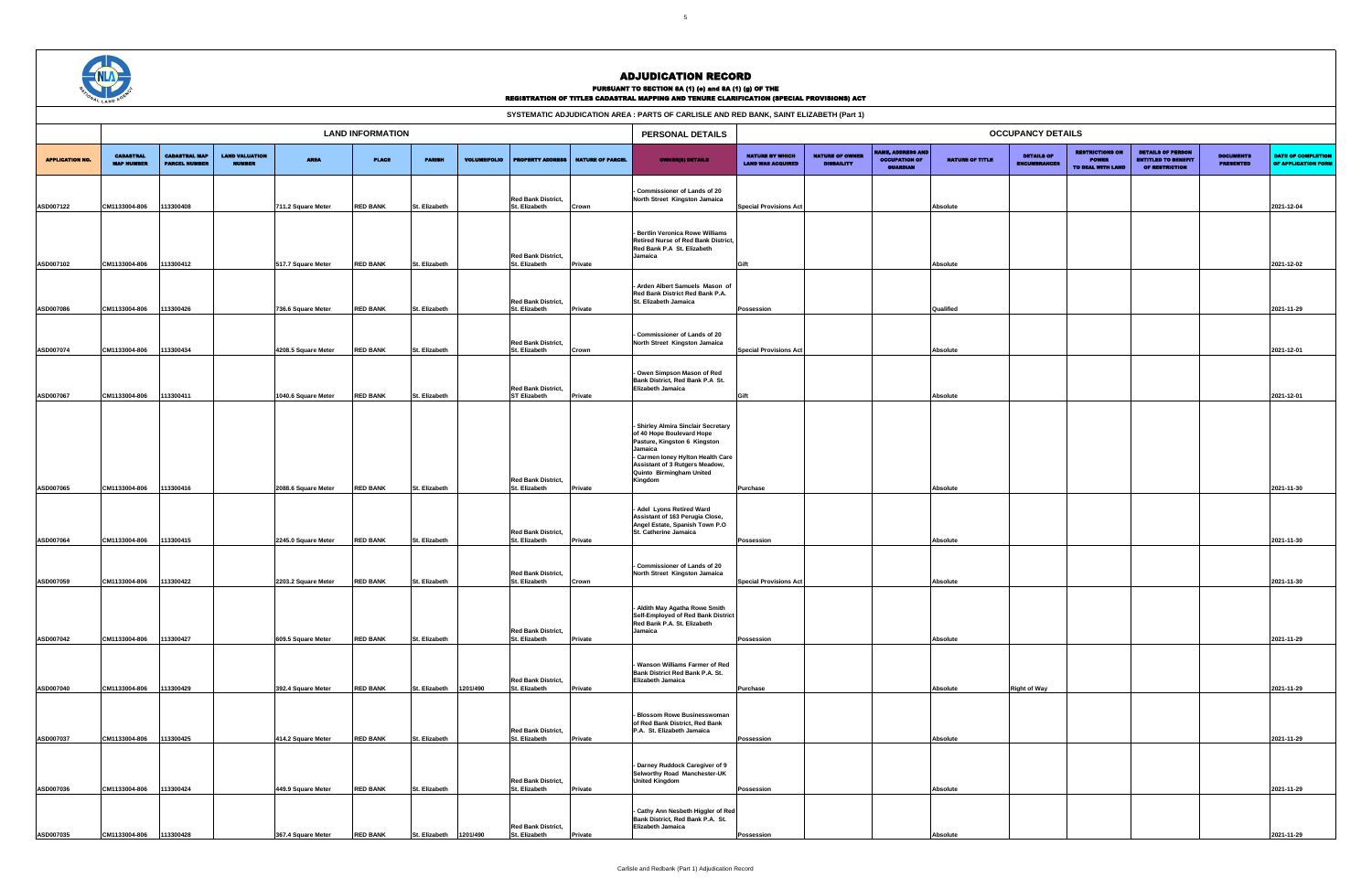|                                                                                                                                                                                                                                                                                                                                                                        | WAL LAND AGU      |                      |               |                     |                 |               |                     |                                            |                         | REGISTRATION OF TITLES CADASTRAL MAPPING AND TENURE CLARIFICATION (SPECIAL PROVISIONS) ACT                              |                               |                   |                                  |                        |                     |                   |                                                                          |                                      |                                                  |
|------------------------------------------------------------------------------------------------------------------------------------------------------------------------------------------------------------------------------------------------------------------------------------------------------------------------------------------------------------------------|-------------------|----------------------|---------------|---------------------|-----------------|---------------|---------------------|--------------------------------------------|-------------------------|-------------------------------------------------------------------------------------------------------------------------|-------------------------------|-------------------|----------------------------------|------------------------|---------------------|-------------------|--------------------------------------------------------------------------|--------------------------------------|--------------------------------------------------|
| SYSTEMATIC ADJUDICATION AREA : PARTS OF CARLISLE AND RED BANK, SAINT ELIZABETH (Part 1)<br><b>LAND INFORMATION</b><br>PERSONAL DETAILS<br><b>OCCUPANCY DETAILS</b><br><b>NAME, ADDRESS AND</b><br><b>RESTRICTIONS ON</b><br><b>NATURE OF OWNER</b><br><b>CADASTRAL</b><br><b>CADASTRAL MAP</b><br><b>LAND VALUATION</b><br><b>NATURE BY WHICH</b><br><b>DETAILS OF</b> |                   |                      |               |                     |                 |               |                     |                                            |                         |                                                                                                                         |                               |                   |                                  |                        |                     |                   |                                                                          |                                      |                                                  |
|                                                                                                                                                                                                                                                                                                                                                                        |                   |                      |               |                     |                 |               |                     |                                            |                         |                                                                                                                         |                               |                   |                                  |                        |                     |                   |                                                                          |                                      |                                                  |
| <b>APPLICATION NO.</b>                                                                                                                                                                                                                                                                                                                                                 | <b>MAP NUMBER</b> | <b>PARCEL NUMBER</b> | <b>NUMBER</b> | <b>AREA</b>         | <b>PLACE</b>    | <b>PARISH</b> | <b>VOLUME/FOLIO</b> | <b>PROPERTY ADDRESS</b>                    | <b>NATURE OF PARCEL</b> | <b>OWNER(S) DETAILS</b>                                                                                                 | <b>LAND WAS ACQUIRED</b>      | <b>DISBAILITY</b> | <b>OCCUPATION OF</b><br>GUARDIAN | <b>NATURE OF TITLE</b> | <b>ENCUMBRANCES</b> | TO DEAL WITH LAND | <b>DETAILS OF PERSON</b><br><b>ENTITLED TO BENEFIT</b><br>OF RESTRICTION | <b>DOCUMENTS</b><br><b>PRESENTED</b> | <b>DATE OF COMPLETION</b><br>OF APPLICATION FORM |
| ASD007122                                                                                                                                                                                                                                                                                                                                                              | CM1133004-806     | 113300408            |               | 711.2 Square Meter  | <b>RED BANK</b> | St. Elizabeth |                     | <b>Red Bank District,</b><br>St. Elizabeth | Crown                   | Commissioner of Lands of 20<br>North Street Kingston Jamaica                                                            | <b>Special Provisions Act</b> |                   |                                  | Absolute               |                     |                   |                                                                          |                                      | 2021-12-04                                       |
|                                                                                                                                                                                                                                                                                                                                                                        |                   |                      |               |                     |                 |               |                     | <b>Red Bank District,</b>                  |                         | - Bertlin Veronica Rowe Williams<br>Retired Nurse of Red Bank District,<br>Red Bank P.A St. Elizabeth<br>Jamaica        |                               |                   |                                  |                        |                     |                   |                                                                          |                                      |                                                  |
| ASD007102                                                                                                                                                                                                                                                                                                                                                              | CM1133004-806     | 113300412            |               | 517.7 Square Meter  | <b>RED BANK</b> | St. Elizabeth |                     | St. Elizabeth                              | Private                 |                                                                                                                         | Gift                          |                   |                                  | Absolute               |                     |                   |                                                                          |                                      | 2021-12-02                                       |
| ASD007086                                                                                                                                                                                                                                                                                                                                                              | CM1133004-806     | 113300426            |               | 736.6 Square Meter  | <b>RED BANK</b> | St. Elizabeth |                     | <b>Red Bank District,</b><br>St. Elizabeth | Private                 | Arden Albert Samuels Mason of<br>Red Bank District Red Bank P.A.<br>St. Elizabeth Jamaica                               | Possession                    |                   |                                  | Qualified              |                     |                   |                                                                          |                                      | 2021-11-29                                       |
|                                                                                                                                                                                                                                                                                                                                                                        |                   |                      |               |                     |                 |               |                     | <b>Red Bank District,</b>                  |                         | - Commissioner of Lands of 20<br>North Street Kingston Jamaica                                                          |                               |                   |                                  |                        |                     |                   |                                                                          |                                      |                                                  |
| ASD007074                                                                                                                                                                                                                                                                                                                                                              | CM1133004-806     | 113300434            |               | 4208.5 Square Meter | <b>RED BANK</b> | St. Elizabeth |                     | St. Elizabeth                              | Crown                   |                                                                                                                         | <b>Special Provisions Act</b> |                   |                                  | Absolute               |                     |                   |                                                                          |                                      | 2021-12-01                                       |
|                                                                                                                                                                                                                                                                                                                                                                        |                   |                      |               |                     |                 |               |                     | <b>Red Bank District,</b>                  |                         | - Owen Simpson Mason of Red<br>Bank District, Red Bank P.A St.<br>Elizabeth Jamaica                                     |                               |                   |                                  |                        |                     |                   |                                                                          |                                      |                                                  |
| ASD007067                                                                                                                                                                                                                                                                                                                                                              | CM1133004-806     | 113300411            |               | 1040.6 Square Meter | <b>RED BANK</b> | St. Elizabeth |                     | <b>ST Elizabeth</b>                        | <b>Private</b>          |                                                                                                                         | Gift                          |                   |                                  | Absolute               |                     |                   |                                                                          |                                      | 2021-12-01                                       |
|                                                                                                                                                                                                                                                                                                                                                                        |                   |                      |               |                     |                 |               |                     |                                            |                         | - Shirley Almira Sinclair Secretary<br>of 40 Hope Boulevard Hope<br>Pasture, Kingston 6 Kingston<br>Jamaica             |                               |                   |                                  |                        |                     |                   |                                                                          |                                      |                                                  |
|                                                                                                                                                                                                                                                                                                                                                                        |                   |                      |               |                     |                 |               |                     | <b>Red Bank District,</b>                  |                         | - Carmen Ioney Hylton Health Care<br>Assistant of 3 Rutgers Meadow,<br>Quinto Birmingham United<br>Kingdom              |                               |                   |                                  |                        |                     |                   |                                                                          |                                      |                                                  |
| ASD007065                                                                                                                                                                                                                                                                                                                                                              | CM1133004-806     | 13300416             |               | 2088.6 Square Meter | <b>RED BANK</b> | St. Elizabeth |                     | St. Elizabeth                              | Private                 |                                                                                                                         | Purchase                      |                   |                                  | Absolute               |                     |                   |                                                                          |                                      | 2021-11-30                                       |
| ASD007064                                                                                                                                                                                                                                                                                                                                                              | CM1133004-806     | 13300415             |               | 2245.0 Square Meter | <b>RED BANK</b> | St. Elizabeth |                     | <b>Red Bank District,</b><br>St. Elizabeth | Private                 | - Adel Lyons Retired Ward<br>Assistant of 163 Perugia Close,<br>Angel Estate, Spanish Town P.O<br>St. Catherine Jamaica | Possession                    |                   |                                  | Absolute               |                     |                   |                                                                          |                                      | 2021-11-30                                       |
|                                                                                                                                                                                                                                                                                                                                                                        |                   |                      |               |                     |                 |               |                     |                                            |                         | - Commissioner of Lands of 20                                                                                           |                               |                   |                                  |                        |                     |                   |                                                                          |                                      |                                                  |
| ASD007059                                                                                                                                                                                                                                                                                                                                                              | CM1133004-806     | 13300422             |               | 2203.2 Square Meter | <b>RED BANK</b> | St. Elizabeth |                     | <b>Red Bank District,</b><br>St. Elizabeth | Crown                   | North Street Kingston Jamaica                                                                                           | <b>Special Provisions Act</b> |                   |                                  | Absolute               |                     |                   |                                                                          |                                      | 2021-11-30                                       |
|                                                                                                                                                                                                                                                                                                                                                                        |                   |                      |               |                     |                 |               |                     |                                            |                         | - Aldith May Agatha Rowe Smith<br>Self-Employed of Red Bank District<br>Red Bank P.A. St. Elizabeth                     |                               |                   |                                  |                        |                     |                   |                                                                          |                                      |                                                  |
| ASD007042                                                                                                                                                                                                                                                                                                                                                              | CM1133004-806     | 113300427            |               | 609.5 Square Meter  | <b>RED BANK</b> | St. Elizabeth |                     | <b>Red Bank District,</b><br>St. Elizabeth | Private                 | Jamaica                                                                                                                 | Possession                    |                   |                                  | Absolute               |                     |                   |                                                                          |                                      | 2021-11-29                                       |
|                                                                                                                                                                                                                                                                                                                                                                        |                   |                      |               |                     |                 |               |                     | <b>Red Bank District,</b>                  |                         | - Wanson Williams Farmer of Red<br>Bank District Red Bank P.A. St.<br>Elizabeth Jamaica                                 |                               |                   |                                  |                        |                     |                   |                                                                          |                                      |                                                  |
| ASD007040                                                                                                                                                                                                                                                                                                                                                              | CM1133004-806     | 113300429            |               | 392.4 Square Meter  | <b>RED BANK</b> | St. Elizabeth | 1201/490            | St. Elizabeth                              | Private                 | - Blossom Rowe Businesswoman<br>of Red Bank District, Red Bank                                                          | Purchase                      |                   |                                  | Absolute               | <b>Right of Way</b> |                   |                                                                          |                                      | 2021-11-29                                       |
| ASD007037                                                                                                                                                                                                                                                                                                                                                              | CM1133004-806     | 113300425            |               | 414.2 Square Meter  | <b>RED BANK</b> | St. Elizabeth |                     | <b>Red Bank District,</b><br>St. Elizabeth | <b>Private</b>          | P.A. St. Elizabeth Jamaica                                                                                              | Possession                    |                   |                                  | Absolute               |                     |                   |                                                                          |                                      | 2021-11-29                                       |
| ASD007036                                                                                                                                                                                                                                                                                                                                                              | CM1133004-806     | 113300424            |               | 449.9 Square Meter  | <b>RED BANK</b> | St. Elizabeth |                     | <b>Red Bank District,</b><br>St. Elizabeth | Private                 | - Darney Ruddock Caregiver of 9<br>Selworthy Road Manchester-UK<br><b>United Kingdom</b>                                | Possession                    |                   |                                  | Absolute               |                     |                   |                                                                          |                                      | 2021-11-29                                       |
| ASD007035                                                                                                                                                                                                                                                                                                                                                              | CM1133004-806     | 113300428            |               | 367.4 Square Meter  | <b>RED BANK</b> | St. Elizabeth | 1201/490            | <b>Red Bank District,</b><br>St. Elizabeth | Private                 | - Cathy Ann Nesbeth Higgler of Red<br>Bank District, Red Bank P.A. St.<br>Elizabeth Jamaica                             | Possession                    |                   |                                  | Absolute               |                     |                   |                                                                          |                                      | 2021-11-29                                       |



# ADJUDICATION RECORD

### PURSUANT TO SECTION 8A (1) (e) and 8A (1) (g) OF THE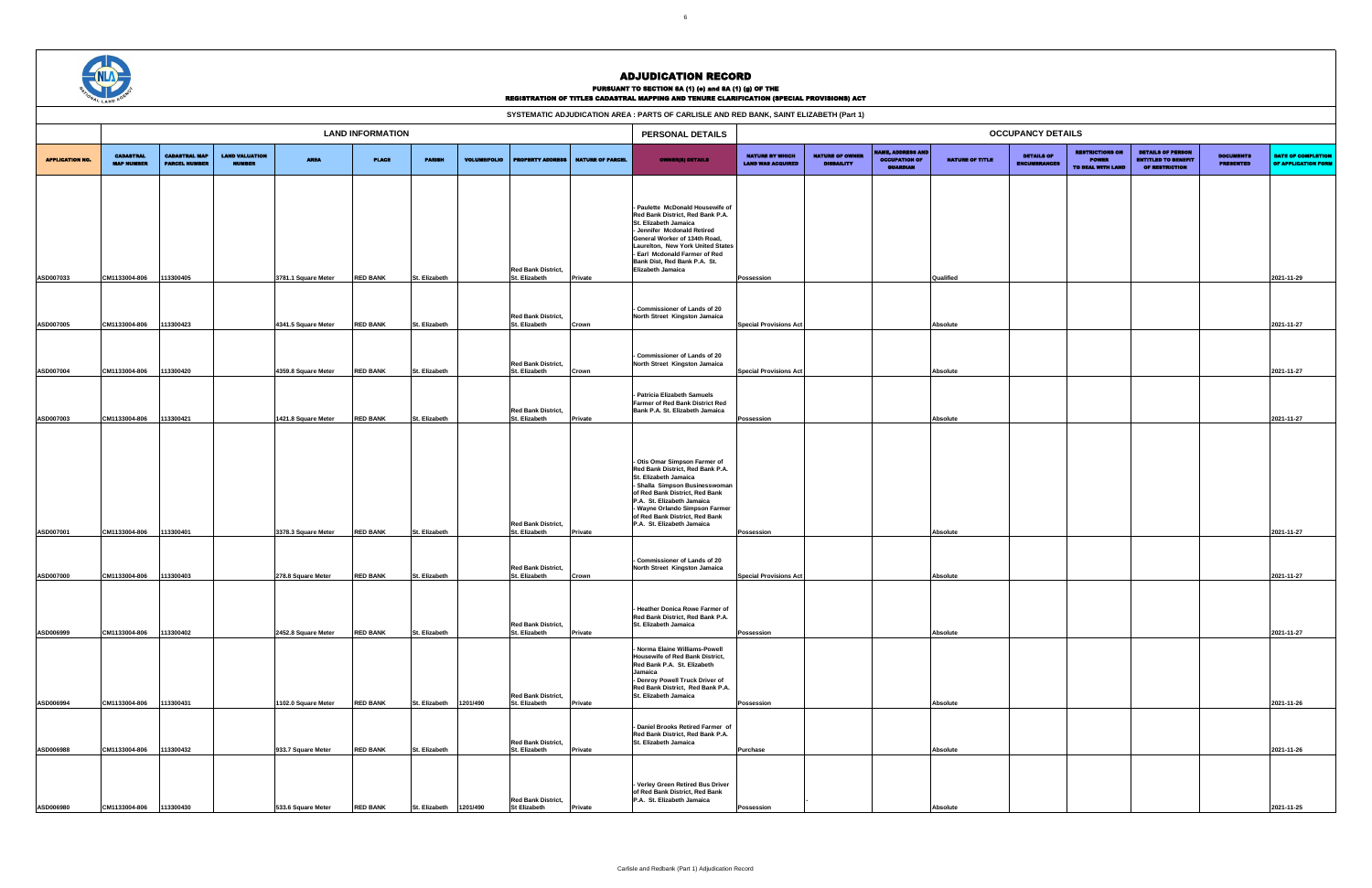|                        | <b>CAND</b>                           |                                              |                                        |                                           |                                    |                                |                     |                                                             |                                            | SYSTEMATIC ADJUDICATION AREA : PARTS OF CARLISLE AND RED BANK, SAINT ELIZABETH (Part 1)                                                                                                                                                                                                        |                                                    |                                             |                                                            |                        |                                          |                                                             |                                                                                 |                                      |                                           |
|------------------------|---------------------------------------|----------------------------------------------|----------------------------------------|-------------------------------------------|------------------------------------|--------------------------------|---------------------|-------------------------------------------------------------|--------------------------------------------|------------------------------------------------------------------------------------------------------------------------------------------------------------------------------------------------------------------------------------------------------------------------------------------------|----------------------------------------------------|---------------------------------------------|------------------------------------------------------------|------------------------|------------------------------------------|-------------------------------------------------------------|---------------------------------------------------------------------------------|--------------------------------------|-------------------------------------------|
|                        |                                       |                                              |                                        |                                           | <b>LAND INFORMATION</b>            |                                |                     |                                                             |                                            | PERSONAL DETAILS                                                                                                                                                                                                                                                                               |                                                    |                                             |                                                            |                        | <b>OCCUPANCY DETAILS</b>                 |                                                             |                                                                                 |                                      |                                           |
| <b>APPLICATION NO.</b> | <b>CADASTRAL</b><br><b>MAP NUMBER</b> | <b>CADASTRAL MAP</b><br><b>PARCEL NUMBER</b> | <b>LAND VALUATION</b><br><b>NUMBER</b> | <b>AREA</b>                               | <b>PLACE</b>                       | <b>PARISH</b>                  | <b>VOLUME/FOLIO</b> |                                                             | <b>PROPERTY ADDRESS   NATURE OF PARCEL</b> | <b>OWNER(8) DETAILS</b>                                                                                                                                                                                                                                                                        | <b>NATURE BY WHICH</b><br><b>LAND WAS ACQUIRED</b> | <b>NATURE OF OWNER</b><br><b>DISBAILITY</b> | ME, ADDRESS AND<br><b>OCCUPATION OF</b><br><b>GUARDIAN</b> | <b>NATURE OF TITLE</b> | <b>DETAILS OF</b><br><b>ENCUMBRANCES</b> | <b>RESTRICTIONS ON</b><br><b>POWER</b><br>TO DEAL WITH LAND | <b>DETAILS OF PERSON</b><br><b>ENTITLED TO BENEFIT</b><br><b>OF RESTRICTION</b> | <b>DOCUMENTS</b><br><b>PRESENTED</b> | DATE OF COMPLETION<br>OF APPLICATION FORM |
| ASD007033              | CM1133004-806                         | 13300405                                     |                                        | 3781.1 Square Meter                       | <b>RED BANK</b>                    | St. Elizabeth                  |                     | <b>Red Bank District,</b><br>St. Elizabeth                  | Private                                    | - Paulette McDonald Housewife of<br>Red Bank District. Red Bank P.A.<br>St. Elizabeth Jamaica<br>- Jennifer Mcdonald Retired<br>General Worker of 134th Road,<br>Laurelton, New York United States<br>- Earl Mcdonald Farmer of Red<br>Bank Dist, Red Bank P.A. St.<br>Elizabeth Jamaica       | Possession                                         |                                             |                                                            | Qualified              |                                          |                                                             |                                                                                 |                                      | 2021-11-29                                |
| ASD007005              | CM1133004-806                         | 13300423                                     |                                        | 4341.5 Square Meter                       | <b>RED BANK</b>                    | St. Elizabeth                  |                     | <b>Red Bank District,</b><br>St. Elizabeth                  | Crown                                      | Commissioner of Lands of 20<br>North Street Kingston Jamaica                                                                                                                                                                                                                                   | <b>Special Provisions Act</b>                      |                                             |                                                            | Absolute               |                                          |                                                             |                                                                                 |                                      | 2021-11-27                                |
| ASD007004              | CM1133004-806                         | 13300420                                     |                                        | 4359.8 Square Meter                       | <b>RED BANK</b>                    | St. Elizabeth                  |                     | <b>Red Bank District,</b><br>St. Elizabeth                  | Crown                                      | Commissioner of Lands of 20<br>North Street Kingston Jamaica                                                                                                                                                                                                                                   | <b>Special Provisions Act</b>                      |                                             |                                                            | Absolute               |                                          |                                                             |                                                                                 |                                      | 2021-11-27                                |
| ASD007003              | CM1133004-806                         | 13300421                                     |                                        | 1421.8 Square Meter                       | <b>RED BANK</b>                    | St. Elizabeth                  |                     | <b>Red Bank District,</b><br>St. Elizabeth                  | Private                                    | - Patricia Elizabeth Samuels<br>Farmer of Red Bank District Red<br>Bank P.A. St. Elizabeth Jamaica                                                                                                                                                                                             | Possession                                         |                                             |                                                            | Absolute               |                                          |                                                             |                                                                                 |                                      | 2021-11-27                                |
| ASD007001              | CM1133004-806                         | 13300401                                     |                                        | 3378.3 Square Meter                       | <b>RED BANK</b>                    | St. Elizabeth                  |                     | <b>Red Bank District,</b><br>St. Elizabeth                  | Private                                    | - Otis Omar Simpson Farmer of<br>Red Bank District, Red Bank P.A.<br>St. Elizabeth Jamaica<br>- Shalla Simpson Businesswomar<br>of Red Bank District, Red Bank<br>P.A. St. Elizabeth Jamaica<br>- Wayne Orlando Simpson Farmer<br>of Red Bank District, Red Bank<br>P.A. St. Elizabeth Jamaica | Possession                                         |                                             |                                                            | Absolute               |                                          |                                                             |                                                                                 |                                      | 2021-11-27                                |
| ASD007000              | CM1133004-806                         | 113300403                                    |                                        | 278.8 Square Meter                        | <b>RED BANK</b>                    | St. Elizabeth                  |                     | <b>Red Bank District,</b><br>St. Elizabeth                  | Crown                                      | - Commissioner of Lands of 20<br>North Street Kingston Jamaica                                                                                                                                                                                                                                 | <b>Special Provisions Act</b>                      |                                             |                                                            | Absolute               |                                          |                                                             |                                                                                 |                                      | 2021-11-27                                |
| ASD006999              | CM1133004-806                         | 113300402                                    |                                        | 2452.8 Square Meter                       | <b>RED BANK</b>                    | St. Elizabeth                  |                     | <b>Red Bank District,</b><br>St. Elizabeth                  | Private                                    | - Heather Donica Rowe Farmer of<br>Red Bank District, Red Bank P.A.<br>St. Elizabeth Jamaica                                                                                                                                                                                                   | Possession                                         |                                             |                                                            | Absolute               |                                          |                                                             |                                                                                 |                                      | 2021-11-27                                |
|                        |                                       |                                              |                                        |                                           |                                    |                                |                     | Red Bank District,                                          |                                            | - Norma Elaine Williams-Powell<br>Housewife of Red Bank District,<br>Red Bank P.A. St. Elizabeth<br>Jamaica<br>- Denroy Powell Truck Driver of<br>Red Bank District, Red Bank P.A.<br>St. Elizabeth Jamaica                                                                                    |                                                    |                                             |                                                            |                        |                                          |                                                             |                                                                                 |                                      |                                           |
| ASD006994<br>ASD006988 | CM1133004-806<br>CM1133004-806        | 113300431<br>113300432                       |                                        | 1102.0 Square Meter<br>933.7 Square Meter | <b>RED BANK</b><br><b>RED BANK</b> | St. Elizabeth<br>St. Elizabeth | 1201/490            | St. Elizabeth<br><b>Red Bank District,</b><br>St. Elizabeth | Private<br><b>Private</b>                  | - Daniel Brooks Retired Farmer of<br>Red Bank District, Red Bank P.A.<br>St. Elizabeth Jamaica                                                                                                                                                                                                 | Possession<br><b>Purchase</b>                      |                                             |                                                            | Absolute<br>Absolute   |                                          |                                                             |                                                                                 |                                      | 2021-11-26<br>2021-11-26                  |
| ASD006980              | CM1133004-806                         | 113300430                                    |                                        | 533.6 Square Meter                        | <b>RED BANK</b>                    | St. Elizabeth                  | 1201/490            | <b>Red Bank District,</b><br><b>St Elizabeth</b>            | Private                                    | - Verley Green Retired Bus Driver<br>of Red Bank District, Red Bank<br>P.A. St. Elizabeth Jamaica                                                                                                                                                                                              | Possession                                         |                                             |                                                            | Absolute               |                                          |                                                             |                                                                                 |                                      | 2021-11-25                                |



## ADJUDICATION RECORD

### PURSUANT TO SECTION 8A (1) (e) and 8A (1) (g) OF THE

| SYSTEMATIC ADJUDICATION AREA : PARTS OF CARLISLE AND RED BANK. SAINT ELIZABETH (Part 1) |
|-----------------------------------------------------------------------------------------|
|-----------------------------------------------------------------------------------------|